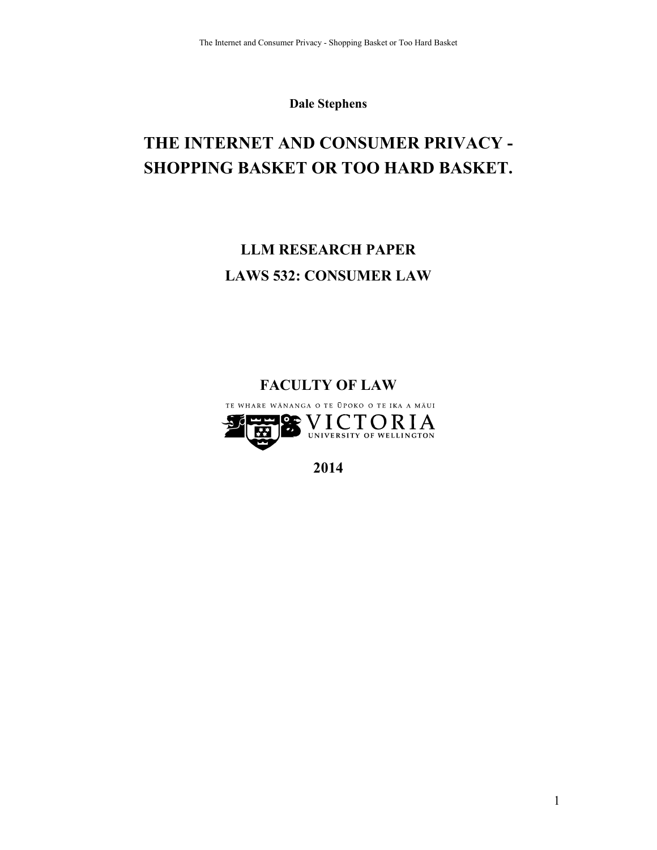**Dale Stephens** 

# **THE INTERNET AND CONSUMER PRIVACY - SHOPPING BASKET OR TOO HARD BASKET.**

# **LLM RESEARCH PAPER LAWS 532: CONSUMER LAW**



**2014**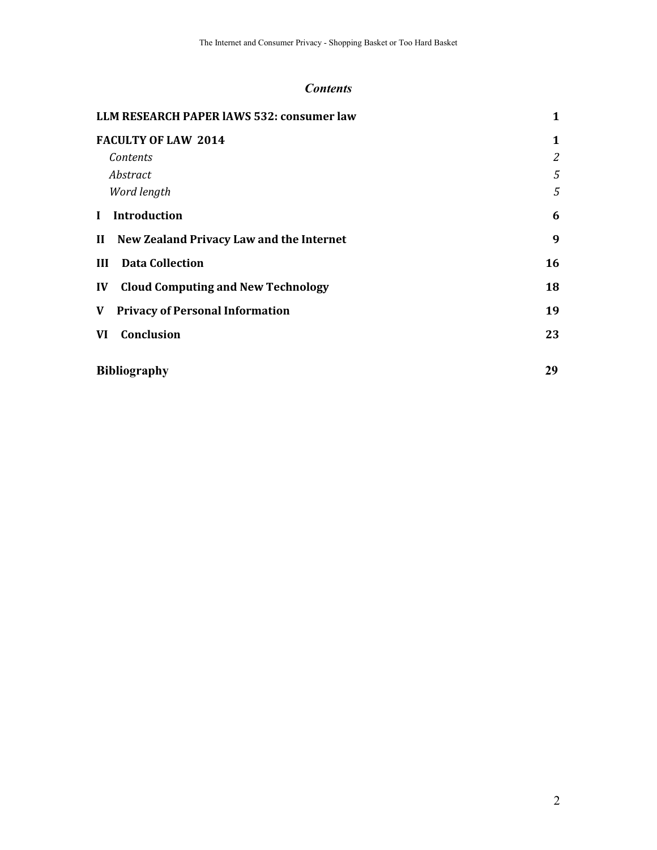### *Contents*

| LLM RESEARCH PAPER IAWS 532: consumer law                |                |
|----------------------------------------------------------|----------------|
| <b>FACULTY OF LAW 2014</b>                               | 1              |
| Contents                                                 | $\overline{2}$ |
| Abstract                                                 | 5              |
| Word length                                              | 5              |
| <b>Introduction</b><br>$\bf I$                           | 6              |
| $\mathbf{I}$<br>New Zealand Privacy Law and the Internet | 9              |
| <b>Data Collection</b><br>Ш                              | 16             |
| <b>Cloud Computing and New Technology</b><br>IV          | 18             |
| <b>Privacy of Personal Information</b><br>V              | 19             |
| <b>Conclusion</b><br>VI                                  | 23             |
| <b>Bibliography</b>                                      | 29             |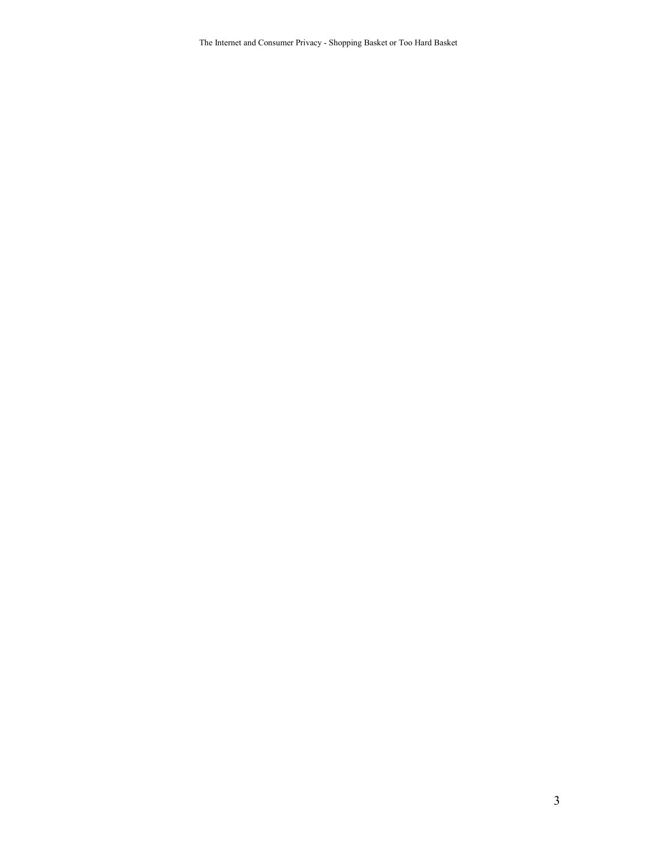The Internet and Consumer Privacy - Shopping Basket or Too Hard Basket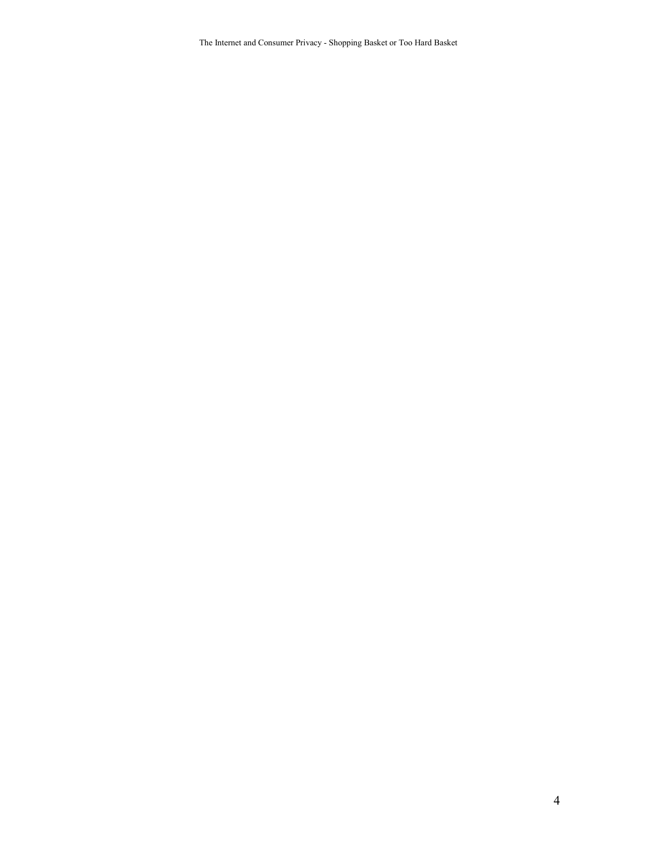The Internet and Consumer Privacy - Shopping Basket or Too Hard Basket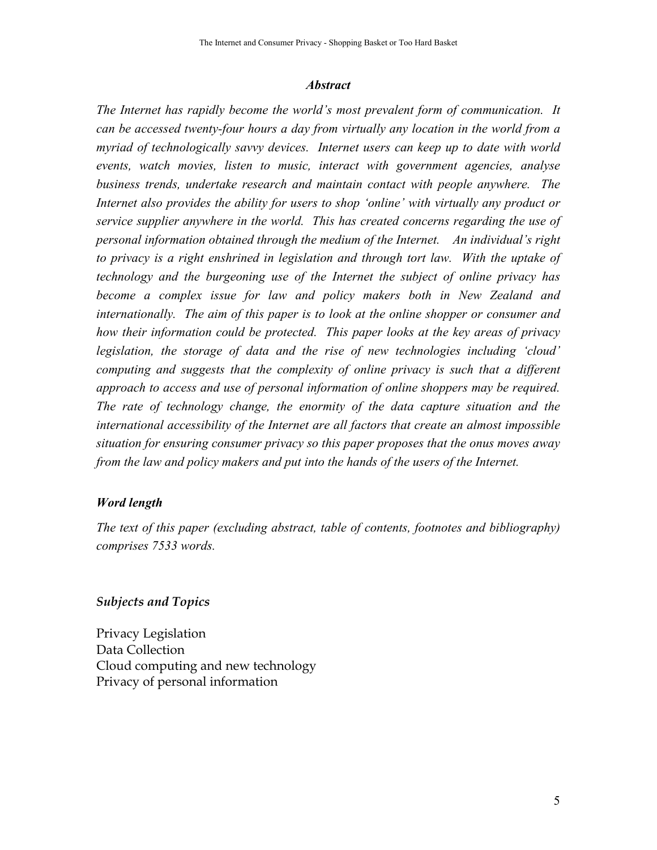#### *Abstract*

*The Internet has rapidly become the world's most prevalent form of communication. It can be accessed twenty-four hours a day from virtually any location in the world from a myriad of technologically savvy devices. Internet users can keep up to date with world events, watch movies, listen to music, interact with government agencies, analyse business trends, undertake research and maintain contact with people anywhere. The Internet also provides the ability for users to shop 'online' with virtually any product or service supplier anywhere in the world. This has created concerns regarding the use of personal information obtained through the medium of the Internet. An individual's right*  to privacy is a right enshrined in legislation and through tort law. With the uptake of *technology and the burgeoning use of the Internet the subject of online privacy has become a complex issue for law and policy makers both in New Zealand and internationally. The aim of this paper is to look at the online shopper or consumer and how their information could be protected. This paper looks at the key areas of privacy legislation, the storage of data and the rise of new technologies including 'cloud' computing and suggests that the complexity of online privacy is such that a different approach to access and use of personal information of online shoppers may be required. The rate of technology change, the enormity of the data capture situation and the international accessibility of the Internet are all factors that create an almost impossible situation for ensuring consumer privacy so this paper proposes that the onus moves away from the law and policy makers and put into the hands of the users of the Internet.* 

#### *Word length*

*The text of this paper (excluding abstract, table of contents, footnotes and bibliography) comprises 7533 words.* 

#### *Subjects and Topics*

Privacy Legislation Data Collection Cloud computing and new technology Privacy of personal information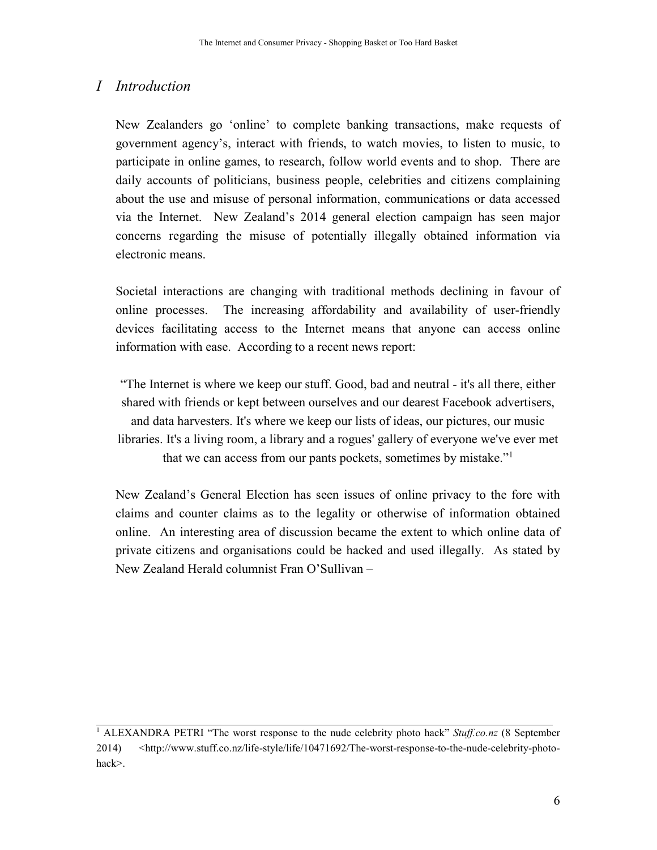### *I Introduction*

New Zealanders go 'online' to complete banking transactions, make requests of government agency's, interact with friends, to watch movies, to listen to music, to participate in online games, to research, follow world events and to shop. There are daily accounts of politicians, business people, celebrities and citizens complaining about the use and misuse of personal information, communications or data accessed via the Internet. New Zealand's 2014 general election campaign has seen major concerns regarding the misuse of potentially illegally obtained information via electronic means.

Societal interactions are changing with traditional methods declining in favour of online processes. The increasing affordability and availability of user-friendly devices facilitating access to the Internet means that anyone can access online information with ease. According to a recent news report:

"The Internet is where we keep our stuff. Good, bad and neutral - it's all there, either shared with friends or kept between ourselves and our dearest Facebook advertisers, and data harvesters. It's where we keep our lists of ideas, our pictures, our music libraries. It's a living room, a library and a rogues' gallery of everyone we've ever met that we can access from our pants pockets, sometimes by mistake."<sup>1</sup>

New Zealand's General Election has seen issues of online privacy to the fore with claims and counter claims as to the legality or otherwise of information obtained online. An interesting area of discussion became the extent to which online data of private citizens and organisations could be hacked and used illegally. As stated by New Zealand Herald columnist Fran O'Sullivan –

<sup>&</sup>lt;sup>1</sup> ALEXANDRA PETRI "The worst response to the nude celebrity photo hack" Stuff.co.nz (8 September 2014) <http://www.stuff.co.nz/life-style/life/10471692/The-worst-response-to-the-nude-celebrity-photohack>.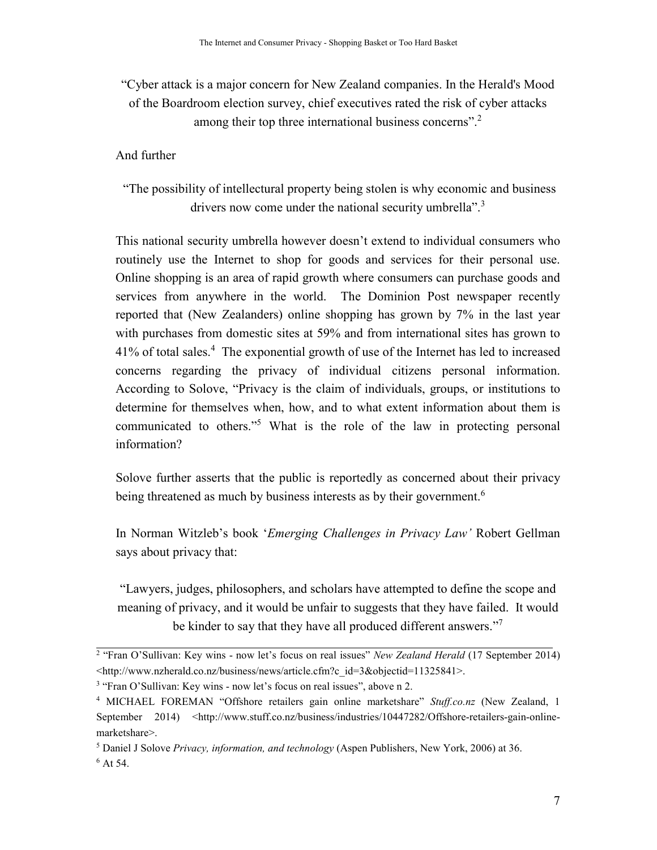"Cyber attack is a major concern for New Zealand companies. In the Herald's Mood of the Boardroom election survey, chief executives rated the risk of cyber attacks among their top three international business concerns".<sup>2</sup>

And further

 "The possibility of intellectural property being stolen is why economic and business drivers now come under the national security umbrella".<sup>3</sup>

This national security umbrella however doesn't extend to individual consumers who routinely use the Internet to shop for goods and services for their personal use. Online shopping is an area of rapid growth where consumers can purchase goods and services from anywhere in the world. The Dominion Post newspaper recently reported that (New Zealanders) online shopping has grown by 7% in the last year with purchases from domestic sites at 59% and from international sites has grown to 41% of total sales.<sup>4</sup> The exponential growth of use of the Internet has led to increased concerns regarding the privacy of individual citizens personal information. According to Solove, "Privacy is the claim of individuals, groups, or institutions to determine for themselves when, how, and to what extent information about them is communicated to others."<sup>5</sup> What is the role of the law in protecting personal information?

Solove further asserts that the public is reportedly as concerned about their privacy being threatened as much by business interests as by their government.<sup>6</sup>

In Norman Witzleb's book '*Emerging Challenges in Privacy Law'* Robert Gellman says about privacy that:

"Lawyers, judges, philosophers, and scholars have attempted to define the scope and meaning of privacy, and it would be unfair to suggests that they have failed. It would be kinder to say that they have all produced different answers."<sup>7</sup>

<sup>3</sup> "Fran O'Sullivan: Key wins - now let's focus on real issues", above n 2.

<sup>&</sup>lt;sup>2</sup> "Fran O'Sullivan: Key wins - now let's focus on real issues" *New Zealand Herald* (17 September 2014) <http://www.nzherald.co.nz/business/news/article.cfm?c\_id=3&objectid=11325841>.

<sup>4</sup> MICHAEL FOREMAN "Offshore retailers gain online marketshare" *Stuff.co.nz* (New Zealand, 1 September 2014) <http://www.stuff.co.nz/business/industries/10447282/Offshore-retailers-gain-onlinemarketshare>.

<sup>5</sup> Daniel J Solove *Privacy, information, and technology* (Aspen Publishers, New York, 2006) at 36.  $6$  At 54.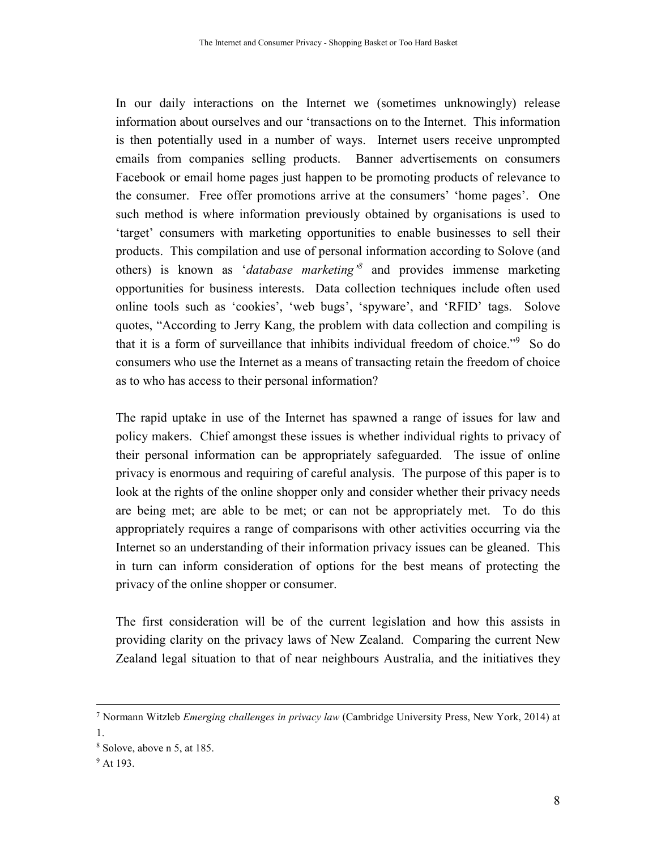In our daily interactions on the Internet we (sometimes unknowingly) release information about ourselves and our 'transactions on to the Internet. This information is then potentially used in a number of ways. Internet users receive unprompted emails from companies selling products. Banner advertisements on consumers Facebook or email home pages just happen to be promoting products of relevance to the consumer. Free offer promotions arrive at the consumers' 'home pages'. One such method is where information previously obtained by organisations is used to 'target' consumers with marketing opportunities to enable businesses to sell their products. This compilation and use of personal information according to Solove (and others) is known as '*database marketing'<sup>8</sup>* and provides immense marketing opportunities for business interests. Data collection techniques include often used online tools such as 'cookies', 'web bugs', 'spyware', and 'RFID' tags. Solove quotes, "According to Jerry Kang, the problem with data collection and compiling is that it is a form of surveillance that inhibits individual freedom of choice."<sup>9</sup> So do consumers who use the Internet as a means of transacting retain the freedom of choice as to who has access to their personal information?

The rapid uptake in use of the Internet has spawned a range of issues for law and policy makers. Chief amongst these issues is whether individual rights to privacy of their personal information can be appropriately safeguarded. The issue of online privacy is enormous and requiring of careful analysis. The purpose of this paper is to look at the rights of the online shopper only and consider whether their privacy needs are being met; are able to be met; or can not be appropriately met. To do this appropriately requires a range of comparisons with other activities occurring via the Internet so an understanding of their information privacy issues can be gleaned. This in turn can inform consideration of options for the best means of protecting the privacy of the online shopper or consumer.

The first consideration will be of the current legislation and how this assists in providing clarity on the privacy laws of New Zealand. Comparing the current New Zealand legal situation to that of near neighbours Australia, and the initiatives they

1.

-

<sup>7</sup> Normann Witzleb *Emerging challenges in privacy law* (Cambridge University Press, New York, 2014) at

<sup>8</sup> Solove, above n 5, at 185.

<sup>&</sup>lt;sup>9</sup> At 193.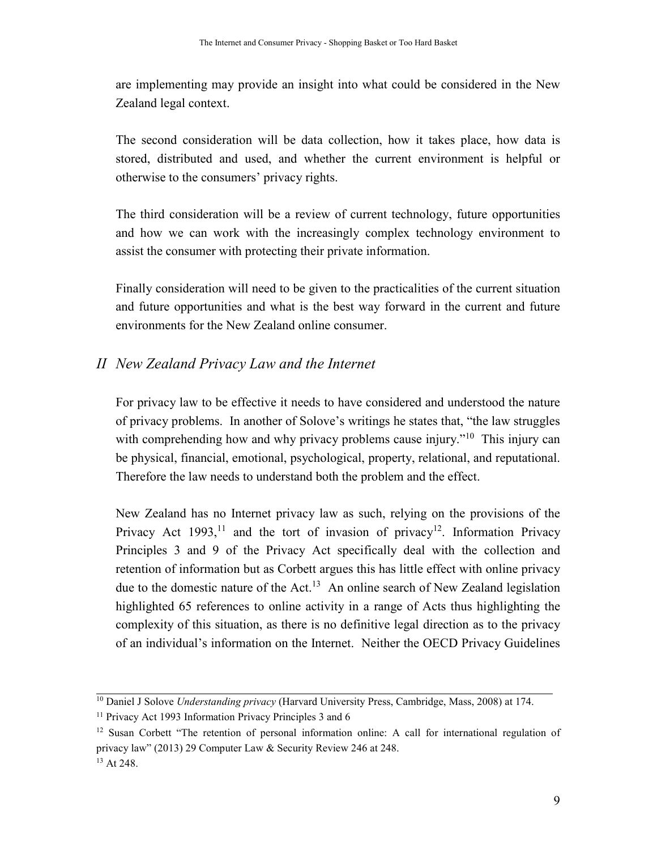are implementing may provide an insight into what could be considered in the New Zealand legal context.

The second consideration will be data collection, how it takes place, how data is stored, distributed and used, and whether the current environment is helpful or otherwise to the consumers' privacy rights.

The third consideration will be a review of current technology, future opportunities and how we can work with the increasingly complex technology environment to assist the consumer with protecting their private information.

Finally consideration will need to be given to the practicalities of the current situation and future opportunities and what is the best way forward in the current and future environments for the New Zealand online consumer.

# *II New Zealand Privacy Law and the Internet*

For privacy law to be effective it needs to have considered and understood the nature of privacy problems. In another of Solove's writings he states that, "the law struggles with comprehending how and why privacy problems cause injury."<sup>10</sup> This injury can be physical, financial, emotional, psychological, property, relational, and reputational. Therefore the law needs to understand both the problem and the effect.

New Zealand has no Internet privacy law as such, relying on the provisions of the Privacy Act 1993,<sup>11</sup> and the tort of invasion of privacy<sup>12</sup>. Information Privacy Principles 3 and 9 of the Privacy Act specifically deal with the collection and retention of information but as Corbett argues this has little effect with online privacy due to the domestic nature of the Act.<sup>13</sup> An online search of New Zealand legislation highlighted 65 references to online activity in a range of Acts thus highlighting the complexity of this situation, as there is no definitive legal direction as to the privacy of an individual's information on the Internet. Neither the OECD Privacy Guidelines

<sup>10</sup> Daniel J Solove *Understanding privacy* (Harvard University Press, Cambridge, Mass, 2008) at 174.

<sup>&</sup>lt;sup>11</sup> Privacy Act 1993 Information Privacy Principles 3 and  $6$ 

<sup>12</sup> Susan Corbett "The retention of personal information online: A call for international regulation of privacy law" (2013) 29 Computer Law & Security Review 246 at 248. <sup>13</sup> At 248.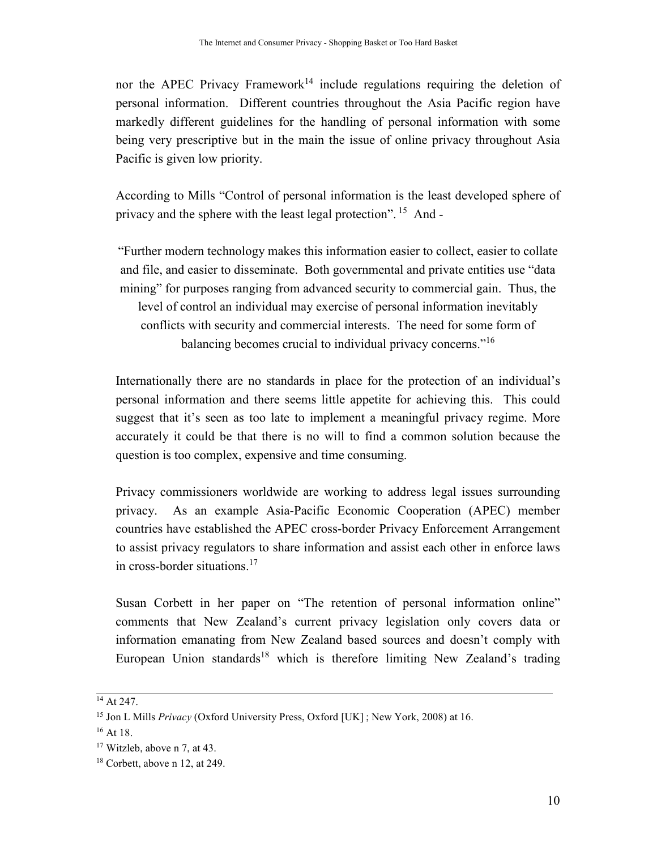nor the APEC Privacy Framework<sup>14</sup> include regulations requiring the deletion of personal information. Different countries throughout the Asia Pacific region have markedly different guidelines for the handling of personal information with some being very prescriptive but in the main the issue of online privacy throughout Asia Pacific is given low priority.

According to Mills "Control of personal information is the least developed sphere of privacy and the sphere with the least legal protection". <sup>15</sup> And -

"Further modern technology makes this information easier to collect, easier to collate and file, and easier to disseminate. Both governmental and private entities use "data mining" for purposes ranging from advanced security to commercial gain. Thus, the level of control an individual may exercise of personal information inevitably conflicts with security and commercial interests. The need for some form of balancing becomes crucial to individual privacy concerns."<sup>16</sup>

Internationally there are no standards in place for the protection of an individual's personal information and there seems little appetite for achieving this. This could suggest that it's seen as too late to implement a meaningful privacy regime. More accurately it could be that there is no will to find a common solution because the question is too complex, expensive and time consuming.

Privacy commissioners worldwide are working to address legal issues surrounding privacy. As an example Asia-Pacific Economic Cooperation (APEC) member countries have established the APEC cross-border Privacy Enforcement Arrangement to assist privacy regulators to share information and assist each other in enforce laws in cross-border situations.<sup>17</sup>

Susan Corbett in her paper on "The retention of personal information online" comments that New Zealand's current privacy legislation only covers data or information emanating from New Zealand based sources and doesn't comply with European Union standards<sup>18</sup> which is therefore limiting New Zealand's trading

<sup>14</sup> At 247.

<sup>15</sup> Jon L Mills *Privacy* (Oxford University Press, Oxford [UK] ; New York, 2008) at 16.

<sup>16</sup> At 18.

<sup>17</sup> Witzleb, above n 7, at 43.

 $18$  Corbett, above n 12, at 249.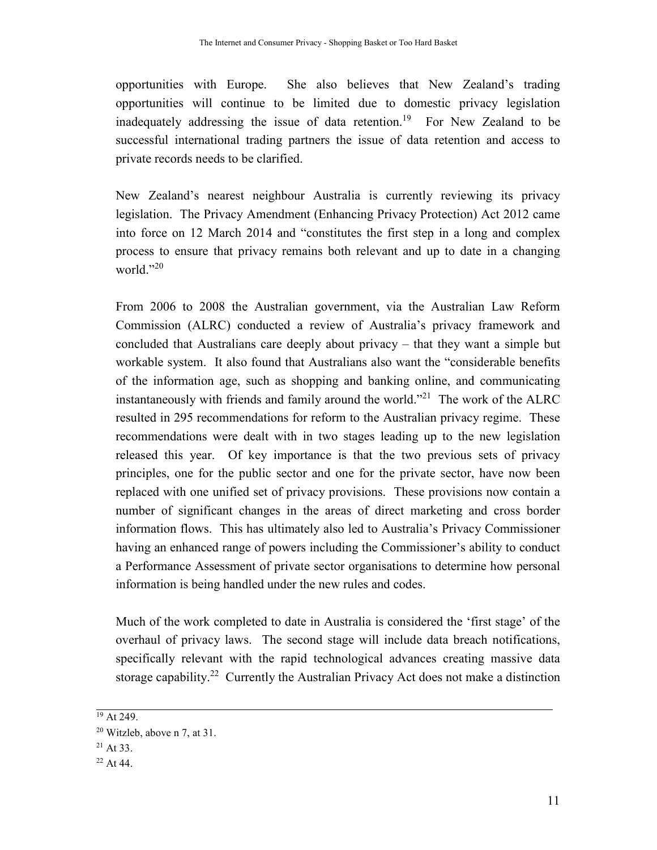opportunities with Europe. She also believes that New Zealand's trading opportunities will continue to be limited due to domestic privacy legislation inadequately addressing the issue of data retention. <sup>19</sup> For New Zealand to be successful international trading partners the issue of data retention and access to private records needs to be clarified.

New Zealand's nearest neighbour Australia is currently reviewing its privacy legislation. The Privacy Amendment (Enhancing Privacy Protection) Act 2012 came into force on 12 March 2014 and "constitutes the first step in a long and complex process to ensure that privacy remains both relevant and up to date in a changing world."<sup>20</sup>

From 2006 to 2008 the Australian government, via the Australian Law Reform Commission (ALRC) conducted a review of Australia's privacy framework and concluded that Australians care deeply about privacy – that they want a simple but workable system. It also found that Australians also want the "considerable benefits of the information age, such as shopping and banking online, and communicating instantaneously with friends and family around the world."<sup>21</sup> The work of the ALRC resulted in 295 recommendations for reform to the Australian privacy regime. These recommendations were dealt with in two stages leading up to the new legislation released this year. Of key importance is that the two previous sets of privacy principles, one for the public sector and one for the private sector, have now been replaced with one unified set of privacy provisions. These provisions now contain a number of significant changes in the areas of direct marketing and cross border information flows. This has ultimately also led to Australia's Privacy Commissioner having an enhanced range of powers including the Commissioner's ability to conduct a Performance Assessment of private sector organisations to determine how personal information is being handled under the new rules and codes.

Much of the work completed to date in Australia is considered the 'first stage' of the overhaul of privacy laws. The second stage will include data breach notifications, specifically relevant with the rapid technological advances creating massive data storage capability.<sup>22</sup> Currently the Australian Privacy Act does not make a distinction

 $19$  At 249.

<sup>20</sup> Witzleb, above n 7, at 31.

 $21$  At 33.

 $22$  At 44.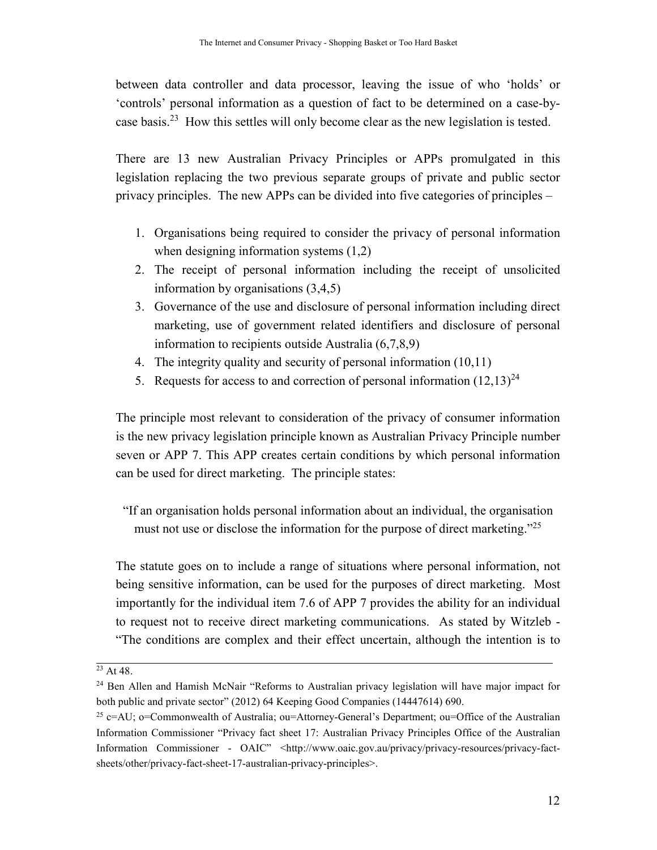between data controller and data processor, leaving the issue of who 'holds' or 'controls' personal information as a question of fact to be determined on a case-bycase basis.<sup>23</sup> How this settles will only become clear as the new legislation is tested.

There are 13 new Australian Privacy Principles or APPs promulgated in this legislation replacing the two previous separate groups of private and public sector privacy principles. The new APPs can be divided into five categories of principles –

- 1. Organisations being required to consider the privacy of personal information when designing information systems  $(1,2)$
- 2. The receipt of personal information including the receipt of unsolicited information by organisations (3,4,5)
- 3. Governance of the use and disclosure of personal information including direct marketing, use of government related identifiers and disclosure of personal information to recipients outside Australia (6,7,8,9)
- 4. The integrity quality and security of personal information (10,11)
- 5. Requests for access to and correction of personal information  $(12.13)^{24}$

The principle most relevant to consideration of the privacy of consumer information is the new privacy legislation principle known as Australian Privacy Principle number seven or APP 7. This APP creates certain conditions by which personal information can be used for direct marketing. The principle states:

"If an organisation holds personal information about an individual, the organisation must not use or disclose the information for the purpose of direct marketing."<sup>25</sup>

The statute goes on to include a range of situations where personal information, not being sensitive information, can be used for the purposes of direct marketing. Most importantly for the individual item 7.6 of APP 7 provides the ability for an individual to request not to receive direct marketing communications. As stated by Witzleb - "The conditions are complex and their effect uncertain, although the intention is to

 $23$  At 48.

<sup>&</sup>lt;sup>24</sup> Ben Allen and Hamish McNair "Reforms to Australian privacy legislation will have major impact for both public and private sector" (2012) 64 Keeping Good Companies (14447614) 690.

<sup>&</sup>lt;sup>25</sup> c=AU; o=Commonwealth of Australia; ou=Attorney-General's Department; ou=Office of the Australian Information Commissioner "Privacy fact sheet 17: Australian Privacy Principles Office of the Australian Information Commissioner - OAIC" <http://www.oaic.gov.au/privacy/privacy-resources/privacy-factsheets/other/privacy-fact-sheet-17-australian-privacy-principles>.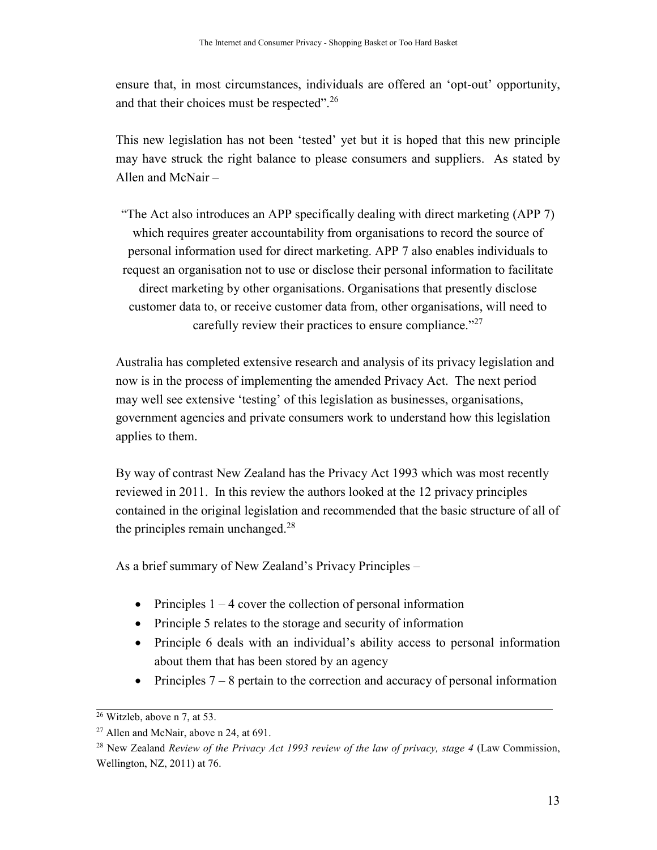ensure that, in most circumstances, individuals are offered an 'opt-out' opportunity, and that their choices must be respected".<sup>26</sup>

This new legislation has not been 'tested' yet but it is hoped that this new principle may have struck the right balance to please consumers and suppliers. As stated by Allen and McNair –

"The Act also introduces an APP specifically dealing with direct marketing (APP 7) which requires greater accountability from organisations to record the source of personal information used for direct marketing. APP 7 also enables individuals to request an organisation not to use or disclose their personal information to facilitate direct marketing by other organisations. Organisations that presently disclose customer data to, or receive customer data from, other organisations, will need to carefully review their practices to ensure compliance."<sup>27</sup>

Australia has completed extensive research and analysis of its privacy legislation and now is in the process of implementing the amended Privacy Act. The next period may well see extensive 'testing' of this legislation as businesses, organisations, government agencies and private consumers work to understand how this legislation applies to them.

By way of contrast New Zealand has the Privacy Act 1993 which was most recently reviewed in 2011. In this review the authors looked at the 12 privacy principles contained in the original legislation and recommended that the basic structure of all of the principles remain unchanged. $28$ 

As a brief summary of New Zealand's Privacy Principles –

- Principles  $1 4$  cover the collection of personal information
- Principle 5 relates to the storage and security of information
- Principle 6 deals with an individual's ability access to personal information about them that has been stored by an agency
- Principles 7 8 pertain to the correction and accuracy of personal information

 $26$  Witzleb, above n 7, at 53.

<sup>27</sup> Allen and McNair, above n 24, at 691.

<sup>28</sup> New Zealand *Review of the Privacy Act 1993 review of the law of privacy, stage 4* (Law Commission, Wellington, NZ, 2011) at 76.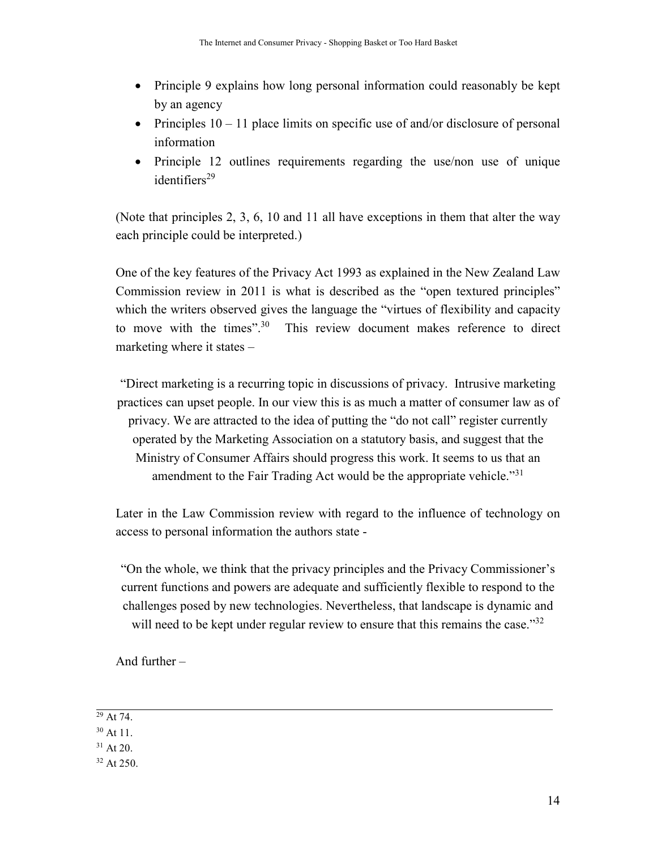- Principle 9 explains how long personal information could reasonably be kept by an agency
- Principles  $10 11$  place limits on specific use of and/or disclosure of personal information
- Principle 12 outlines requirements regarding the use/non use of unique identifiers<sup>29</sup>

(Note that principles 2, 3, 6, 10 and 11 all have exceptions in them that alter the way each principle could be interpreted.)

One of the key features of the Privacy Act 1993 as explained in the New Zealand Law Commission review in 2011 is what is described as the "open textured principles" which the writers observed gives the language the "virtues of flexibility and capacity to move with the times".<sup>30</sup> This review document makes reference to direct marketing where it states –

"Direct marketing is a recurring topic in discussions of privacy. Intrusive marketing practices can upset people. In our view this is as much a matter of consumer law as of privacy. We are attracted to the idea of putting the "do not call" register currently operated by the Marketing Association on a statutory basis, and suggest that the Ministry of Consumer Affairs should progress this work. It seems to us that an amendment to the Fair Trading Act would be the appropriate vehicle."<sup>31</sup>

Later in the Law Commission review with regard to the influence of technology on access to personal information the authors state -

"On the whole, we think that the privacy principles and the Privacy Commissioner's current functions and powers are adequate and sufficiently flexible to respond to the challenges posed by new technologies. Nevertheless, that landscape is dynamic and will need to be kept under regular review to ensure that this remains the case."<sup>32</sup>

And further –

|  | T |  |
|--|---|--|
|--|---|--|

<sup>30</sup> At 11.

 $32$  At 250.

 $31$  At 20.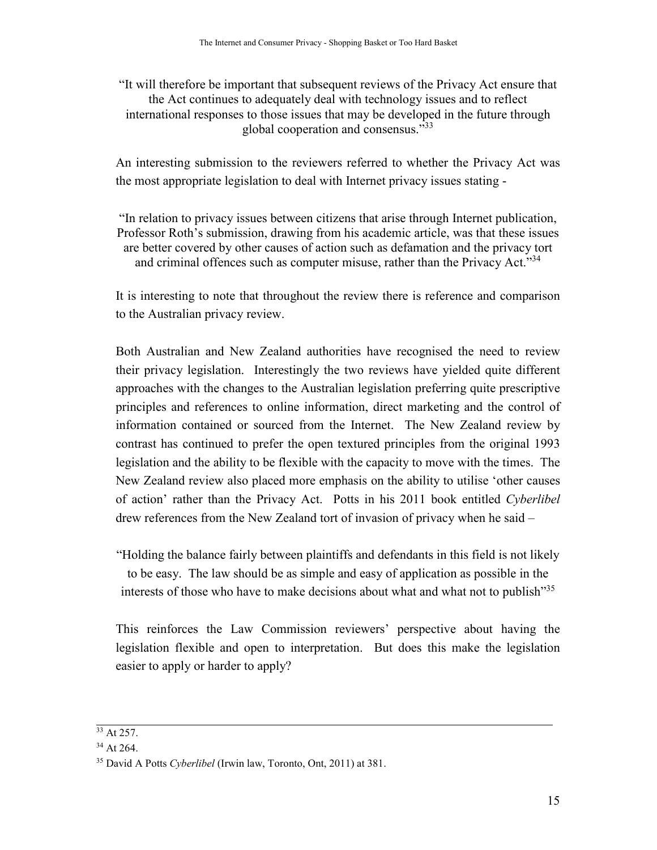"It will therefore be important that subsequent reviews of the Privacy Act ensure that the Act continues to adequately deal with technology issues and to reflect international responses to those issues that may be developed in the future through global cooperation and consensus."<sup>33</sup>

An interesting submission to the reviewers referred to whether the Privacy Act was the most appropriate legislation to deal with Internet privacy issues stating -

"In relation to privacy issues between citizens that arise through Internet publication, Professor Roth's submission, drawing from his academic article, was that these issues are better covered by other causes of action such as defamation and the privacy tort and criminal offences such as computer misuse, rather than the Privacy Act."<sup>34</sup>

It is interesting to note that throughout the review there is reference and comparison to the Australian privacy review.

Both Australian and New Zealand authorities have recognised the need to review their privacy legislation. Interestingly the two reviews have yielded quite different approaches with the changes to the Australian legislation preferring quite prescriptive principles and references to online information, direct marketing and the control of information contained or sourced from the Internet. The New Zealand review by contrast has continued to prefer the open textured principles from the original 1993 legislation and the ability to be flexible with the capacity to move with the times. The New Zealand review also placed more emphasis on the ability to utilise 'other causes of action' rather than the Privacy Act. Potts in his 2011 book entitled *Cyberlibel* drew references from the New Zealand tort of invasion of privacy when he said –

"Holding the balance fairly between plaintiffs and defendants in this field is not likely to be easy. The law should be as simple and easy of application as possible in the interests of those who have to make decisions about what and what not to publish"<sup>35</sup>

This reinforces the Law Commission reviewers' perspective about having the legislation flexible and open to interpretation. But does this make the legislation easier to apply or harder to apply?

 $33$  At 257.

<sup>34</sup> At 264.

<sup>35</sup> David A Potts *Cyberlibel* (Irwin law, Toronto, Ont, 2011) at 381.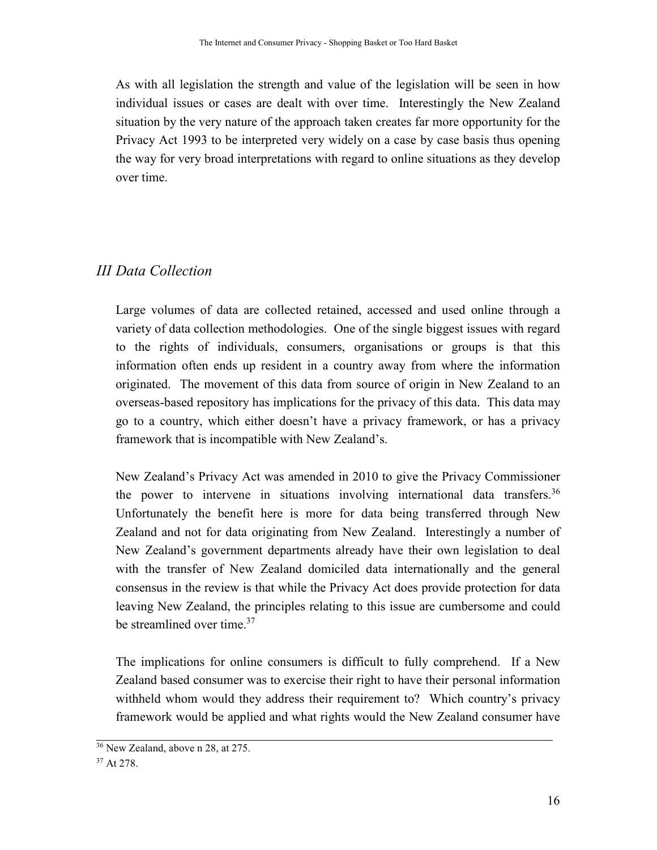As with all legislation the strength and value of the legislation will be seen in how individual issues or cases are dealt with over time. Interestingly the New Zealand situation by the very nature of the approach taken creates far more opportunity for the Privacy Act 1993 to be interpreted very widely on a case by case basis thus opening the way for very broad interpretations with regard to online situations as they develop over time.

# *III Data Collection*

Large volumes of data are collected retained, accessed and used online through a variety of data collection methodologies. One of the single biggest issues with regard to the rights of individuals, consumers, organisations or groups is that this information often ends up resident in a country away from where the information originated. The movement of this data from source of origin in New Zealand to an overseas-based repository has implications for the privacy of this data. This data may go to a country, which either doesn't have a privacy framework, or has a privacy framework that is incompatible with New Zealand's.

New Zealand's Privacy Act was amended in 2010 to give the Privacy Commissioner the power to intervene in situations involving international data transfers.<sup>36</sup> Unfortunately the benefit here is more for data being transferred through New Zealand and not for data originating from New Zealand. Interestingly a number of New Zealand's government departments already have their own legislation to deal with the transfer of New Zealand domiciled data internationally and the general consensus in the review is that while the Privacy Act does provide protection for data leaving New Zealand, the principles relating to this issue are cumbersome and could be streamlined over time  $37$ 

The implications for online consumers is difficult to fully comprehend. If a New Zealand based consumer was to exercise their right to have their personal information withheld whom would they address their requirement to? Which country's privacy framework would be applied and what rights would the New Zealand consumer have

<sup>&</sup>lt;sup>36</sup> New Zealand, above n 28, at 275.

<sup>&</sup>lt;sup>37</sup> At 278.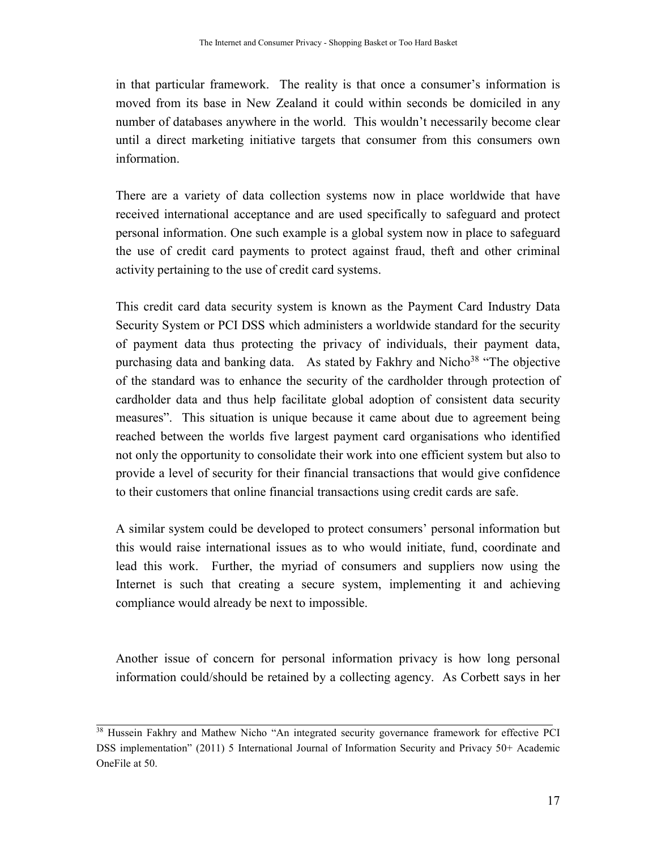in that particular framework. The reality is that once a consumer's information is moved from its base in New Zealand it could within seconds be domiciled in any number of databases anywhere in the world. This wouldn't necessarily become clear until a direct marketing initiative targets that consumer from this consumers own information.

There are a variety of data collection systems now in place worldwide that have received international acceptance and are used specifically to safeguard and protect personal information. One such example is a global system now in place to safeguard the use of credit card payments to protect against fraud, theft and other criminal activity pertaining to the use of credit card systems.

This credit card data security system is known as the Payment Card Industry Data Security System or PCI DSS which administers a worldwide standard for the security of payment data thus protecting the privacy of individuals, their payment data, purchasing data and banking data. As stated by Fakhry and Nicho<sup>38</sup> "The objective of the standard was to enhance the security of the cardholder through protection of cardholder data and thus help facilitate global adoption of consistent data security measures". This situation is unique because it came about due to agreement being reached between the worlds five largest payment card organisations who identified not only the opportunity to consolidate their work into one efficient system but also to provide a level of security for their financial transactions that would give confidence to their customers that online financial transactions using credit cards are safe.

A similar system could be developed to protect consumers' personal information but this would raise international issues as to who would initiate, fund, coordinate and lead this work. Further, the myriad of consumers and suppliers now using the Internet is such that creating a secure system, implementing it and achieving compliance would already be next to impossible.

Another issue of concern for personal information privacy is how long personal information could/should be retained by a collecting agency. As Corbett says in her

<sup>&</sup>lt;sup>38</sup> Hussein Fakhry and Mathew Nicho "An integrated security governance framework for effective PCI DSS implementation" (2011) 5 International Journal of Information Security and Privacy 50+ Academic OneFile at 50.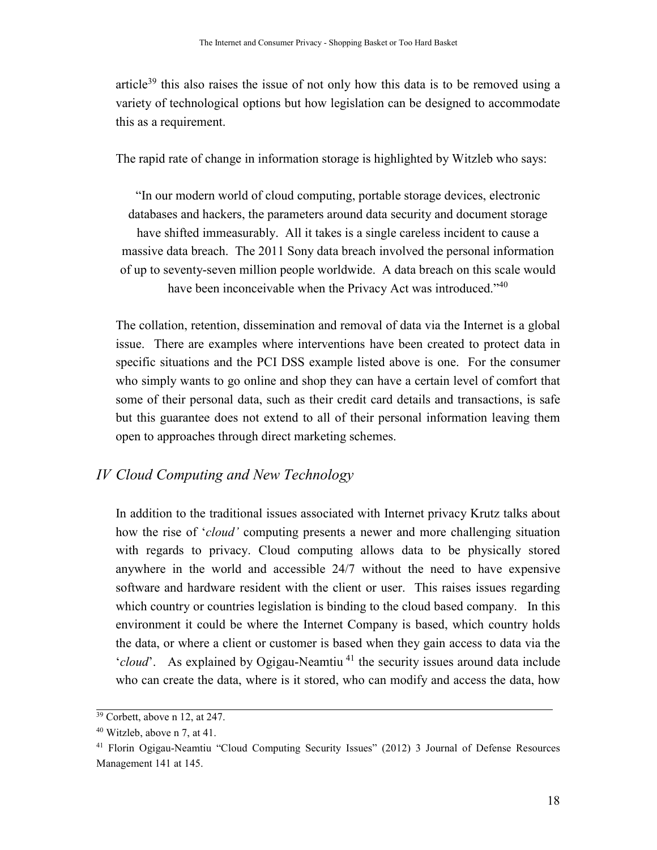article<sup>39</sup> this also raises the issue of not only how this data is to be removed using a variety of technological options but how legislation can be designed to accommodate this as a requirement.

The rapid rate of change in information storage is highlighted by Witzleb who says:

"In our modern world of cloud computing, portable storage devices, electronic databases and hackers, the parameters around data security and document storage have shifted immeasurably. All it takes is a single careless incident to cause a massive data breach. The 2011 Sony data breach involved the personal information of up to seventy-seven million people worldwide. A data breach on this scale would have been inconceivable when the Privacy Act was introduced."<sup>40</sup>

The collation, retention, dissemination and removal of data via the Internet is a global issue. There are examples where interventions have been created to protect data in specific situations and the PCI DSS example listed above is one. For the consumer who simply wants to go online and shop they can have a certain level of comfort that some of their personal data, such as their credit card details and transactions, is safe but this guarantee does not extend to all of their personal information leaving them open to approaches through direct marketing schemes.

#### *IV Cloud Computing and New Technology*

In addition to the traditional issues associated with Internet privacy Krutz talks about how the rise of '*cloud'* computing presents a newer and more challenging situation with regards to privacy. Cloud computing allows data to be physically stored anywhere in the world and accessible 24/7 without the need to have expensive software and hardware resident with the client or user. This raises issues regarding which country or countries legislation is binding to the cloud based company. In this environment it could be where the Internet Company is based, which country holds the data, or where a client or customer is based when they gain access to data via the '*cloud*'. As explained by Ogigau-Neamtiu<sup>41</sup> the security issues around data include who can create the data, where is it stored, who can modify and access the data, how

<sup>39</sup> Corbett, above n 12, at 247.

<sup>40</sup> Witzleb, above n 7, at 41.

<sup>&</sup>lt;sup>41</sup> Florin Ogigau-Neamtiu "Cloud Computing Security Issues" (2012) 3 Journal of Defense Resources Management 141 at 145.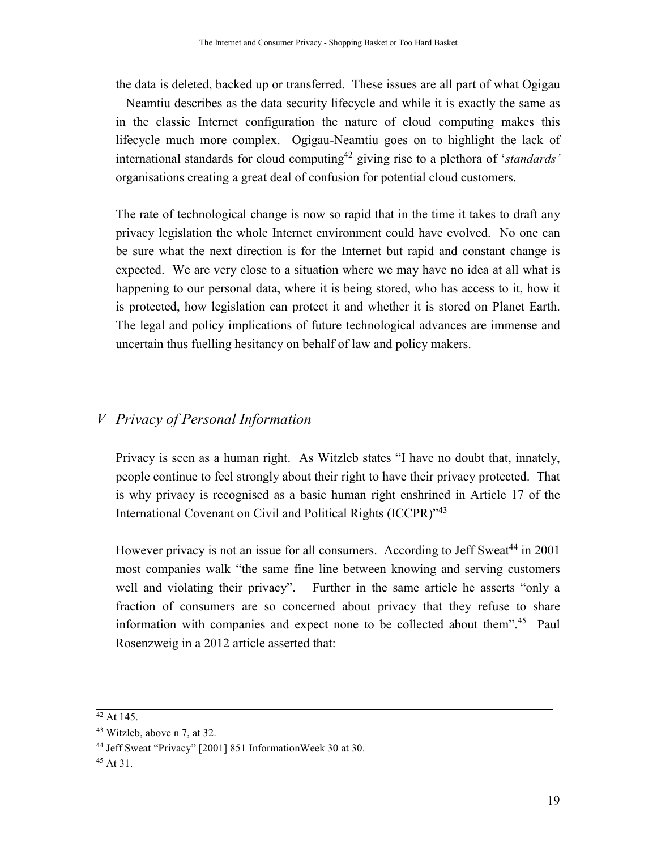the data is deleted, backed up or transferred. These issues are all part of what Ogigau – Neamtiu describes as the data security lifecycle and while it is exactly the same as in the classic Internet configuration the nature of cloud computing makes this lifecycle much more complex. Ogigau-Neamtiu goes on to highlight the lack of international standards for cloud computing<sup>42</sup> giving rise to a plethora of '*standards'* organisations creating a great deal of confusion for potential cloud customers.

The rate of technological change is now so rapid that in the time it takes to draft any privacy legislation the whole Internet environment could have evolved. No one can be sure what the next direction is for the Internet but rapid and constant change is expected. We are very close to a situation where we may have no idea at all what is happening to our personal data, where it is being stored, who has access to it, how it is protected, how legislation can protect it and whether it is stored on Planet Earth. The legal and policy implications of future technological advances are immense and uncertain thus fuelling hesitancy on behalf of law and policy makers.

## *V Privacy of Personal Information*

Privacy is seen as a human right. As Witzleb states "I have no doubt that, innately, people continue to feel strongly about their right to have their privacy protected. That is why privacy is recognised as a basic human right enshrined in Article 17 of the International Covenant on Civil and Political Rights (ICCPR)"<sup>43</sup>

However privacy is not an issue for all consumers. According to Jeff Sweat<sup>44</sup> in 2001 most companies walk "the same fine line between knowing and serving customers well and violating their privacy". Further in the same article he asserts "only a fraction of consumers are so concerned about privacy that they refuse to share information with companies and expect none to be collected about them".<sup>45</sup> Paul Rosenzweig in a 2012 article asserted that:

 $\frac{42}{42}$  At 145.

<sup>43</sup> Witzleb, above n 7, at 32.

<sup>44</sup> Jeff Sweat "Privacy" [2001] 851 InformationWeek 30 at 30.

 $45$  At 31.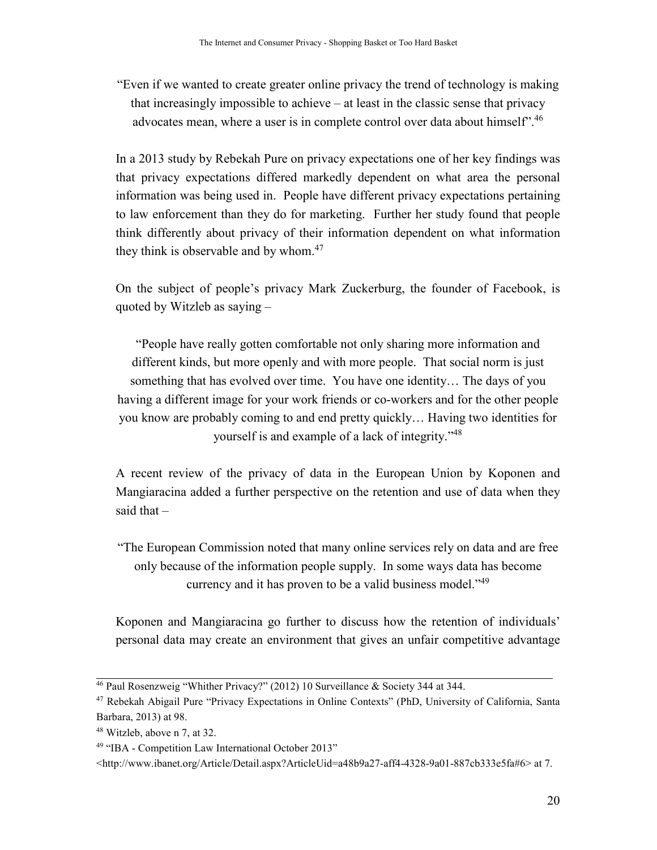"Even if we wanted to create greater online privacy the trend of technology is making that increasingly impossible to achieve – at least in the classic sense that privacy advocates mean, where a user is in complete control over data about himself<sup>", 46</sup>

In a 2013 study by Rebekah Pure on privacy expectations one of her key findings was that privacy expectations differed markedly dependent on what area the personal information was being used in. People have different privacy expectations pertaining to law enforcement than they do for marketing. Further her study found that people think differently about privacy of their information dependent on what information they think is observable and by whom.<sup>47</sup>

On the subject of people's privacy Mark Zuckerburg, the founder of Facebook, is quoted by Witzleb as saying –

"People have really gotten comfortable not only sharing more information and different kinds, but more openly and with more people. That social norm is just something that has evolved over time. You have one identity… The days of you having a different image for your work friends or co-workers and for the other people you know are probably coming to and end pretty quickly… Having two identities for yourself is and example of a lack of integrity."<sup>48</sup>

A recent review of the privacy of data in the European Union by Koponen and Mangiaracina added a further perspective on the retention and use of data when they said that –

"The European Commission noted that many online services rely on data and are free only because of the information people supply. In some ways data has become currency and it has proven to be a valid business model."<sup>49</sup>

Koponen and Mangiaracina go further to discuss how the retention of individuals' personal data may create an environment that gives an unfair competitive advantage

<sup>&</sup>lt;sup>46</sup> Paul Rosenzweig "Whither Privacy?" (2012) 10 Surveillance & Society 344 at 344.

<sup>47</sup> Rebekah Abigail Pure "Privacy Expectations in Online Contexts" (PhD, University of California, Santa Barbara, 2013) at 98.

<sup>48</sup> Witzleb, above n 7, at 32.

<sup>49</sup> "IBA - Competition Law International October 2013"

<sup>&</sup>lt;http://www.ibanet.org/Article/Detail.aspx?ArticleUid=a48b9a27-aff4-4328-9a01-887cb333e5fa#6> at 7.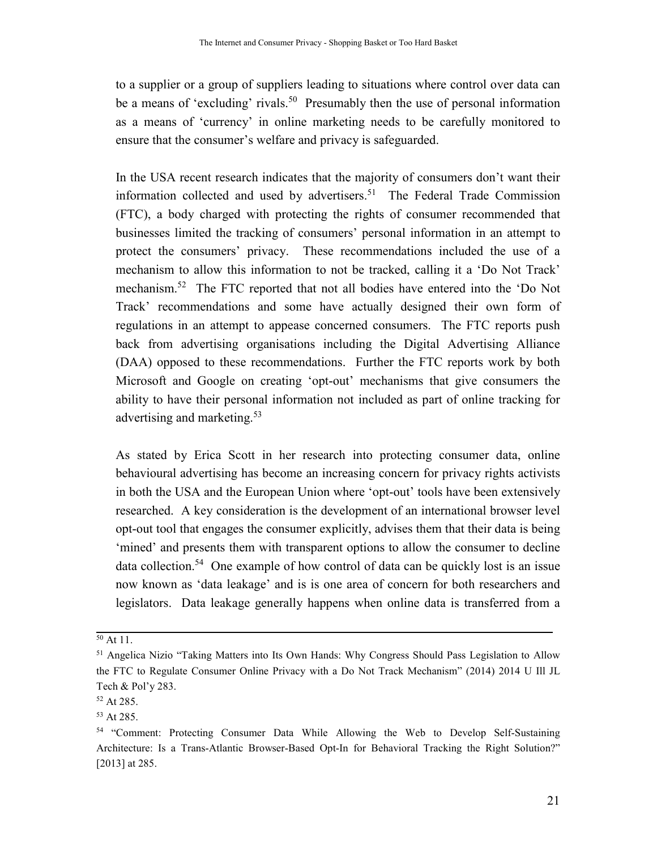to a supplier or a group of suppliers leading to situations where control over data can be a means of 'excluding' rivals.<sup>50</sup> Presumably then the use of personal information as a means of 'currency' in online marketing needs to be carefully monitored to ensure that the consumer's welfare and privacy is safeguarded.

In the USA recent research indicates that the majority of consumers don't want their information collected and used by advertisers.<sup>51</sup> The Federal Trade Commission (FTC), a body charged with protecting the rights of consumer recommended that businesses limited the tracking of consumers' personal information in an attempt to protect the consumers' privacy. These recommendations included the use of a mechanism to allow this information to not be tracked, calling it a 'Do Not Track' mechanism.<sup>52</sup> The FTC reported that not all bodies have entered into the 'Do Not Track' recommendations and some have actually designed their own form of regulations in an attempt to appease concerned consumers. The FTC reports push back from advertising organisations including the Digital Advertising Alliance (DAA) opposed to these recommendations. Further the FTC reports work by both Microsoft and Google on creating 'opt-out' mechanisms that give consumers the ability to have their personal information not included as part of online tracking for advertising and marketing.<sup>53</sup>

As stated by Erica Scott in her research into protecting consumer data, online behavioural advertising has become an increasing concern for privacy rights activists in both the USA and the European Union where 'opt-out' tools have been extensively researched. A key consideration is the development of an international browser level opt-out tool that engages the consumer explicitly, advises them that their data is being 'mined' and presents them with transparent options to allow the consumer to decline data collection.<sup>54</sup> One example of how control of data can be quickly lost is an issue now known as 'data leakage' and is is one area of concern for both researchers and legislators. Data leakage generally happens when online data is transferred from a

 $50$  At 11.

<sup>51</sup> Angelica Nizio "Taking Matters into Its Own Hands: Why Congress Should Pass Legislation to Allow the FTC to Regulate Consumer Online Privacy with a Do Not Track Mechanism" (2014) 2014 U Ill JL Tech & Pol'y 283.

<sup>52</sup> At 285.

<sup>53</sup> At 285.

<sup>&</sup>lt;sup>54</sup> "Comment: Protecting Consumer Data While Allowing the Web to Develop Self-Sustaining Architecture: Is a Trans-Atlantic Browser-Based Opt-In for Behavioral Tracking the Right Solution?" [2013] at 285.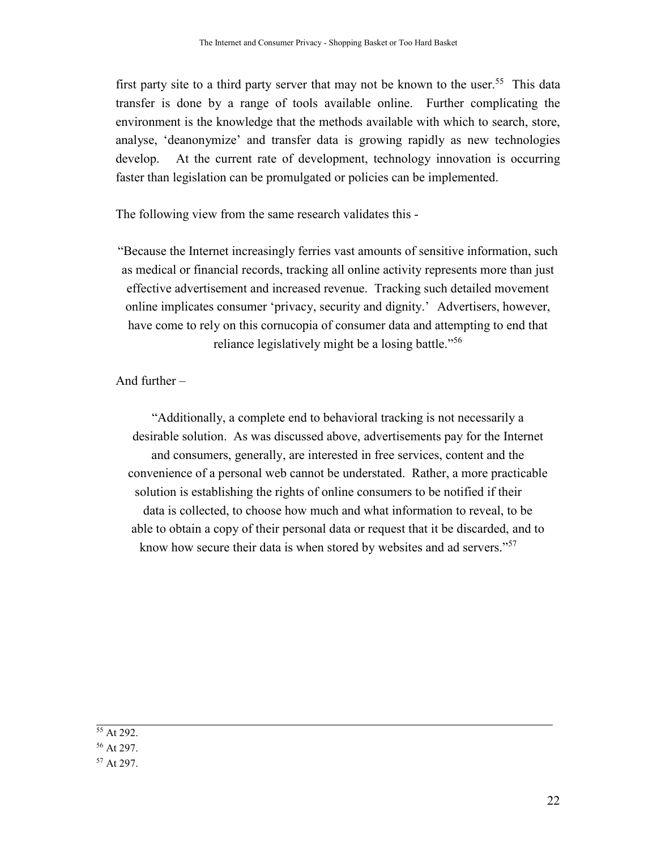first party site to a third party server that may not be known to the user.<sup>55</sup> This data transfer is done by a range of tools available online. Further complicating the environment is the knowledge that the methods available with which to search, store, analyse, 'deanonymize' and transfer data is growing rapidly as new technologies develop. At the current rate of development, technology innovation is occurring faster than legislation can be promulgated or policies can be implemented.

The following view from the same research validates this -

"Because the Internet increasingly ferries vast amounts of sensitive information, such as medical or financial records, tracking all online activity represents more than just effective advertisement and increased revenue. Tracking such detailed movement online implicates consumer 'privacy, security and dignity.' Advertisers, however, have come to rely on this cornucopia of consumer data and attempting to end that reliance legislatively might be a losing battle."<sup>56</sup>

And further –

"Additionally, a complete end to behavioral tracking is not necessarily a desirable solution. As was discussed above, advertisements pay for the Internet and consumers, generally, are interested in free services, content and the convenience of a personal web cannot be understated. Rather, a more practicable solution is establishing the rights of online consumers to be notified if their data is collected, to choose how much and what information to reveal, to be able to obtain a copy of their personal data or request that it be discarded, and to know how secure their data is when stored by websites and ad servers."<sup>57</sup>

 $\frac{55}{55}$  At 292.

<sup>56</sup> At 297.

57 At 297.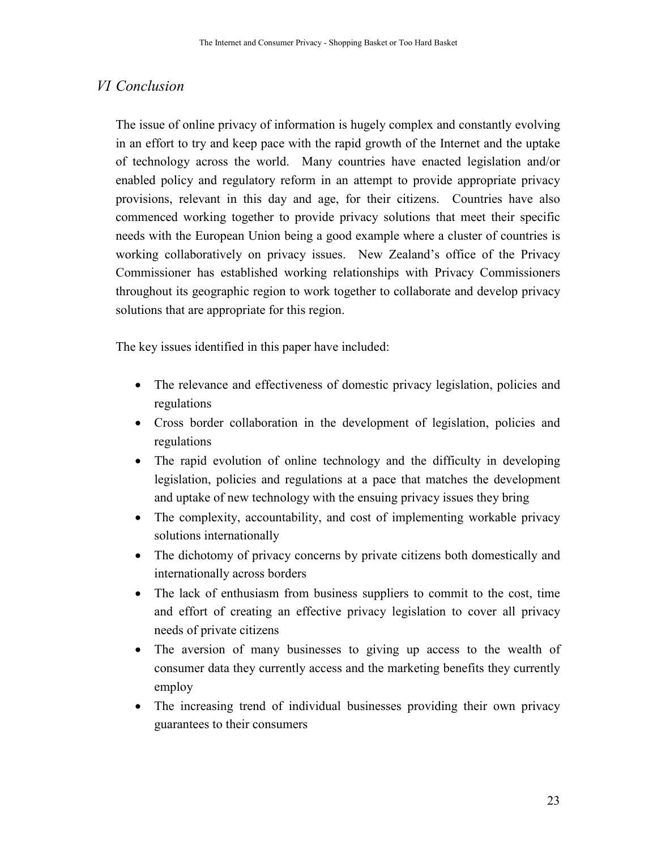# *VI Conclusion*

The issue of online privacy of information is hugely complex and constantly evolving in an effort to try and keep pace with the rapid growth of the Internet and the uptake of technology across the world. Many countries have enacted legislation and/or enabled policy and regulatory reform in an attempt to provide appropriate privacy provisions, relevant in this day and age, for their citizens. Countries have also commenced working together to provide privacy solutions that meet their specific needs with the European Union being a good example where a cluster of countries is working collaboratively on privacy issues. New Zealand's office of the Privacy Commissioner has established working relationships with Privacy Commissioners throughout its geographic region to work together to collaborate and develop privacy solutions that are appropriate for this region.

The key issues identified in this paper have included:

- The relevance and effectiveness of domestic privacy legislation, policies and regulations
- Cross border collaboration in the development of legislation, policies and regulations
- The rapid evolution of online technology and the difficulty in developing legislation, policies and regulations at a pace that matches the development and uptake of new technology with the ensuing privacy issues they bring
- The complexity, accountability, and cost of implementing workable privacy solutions internationally
- The dichotomy of privacy concerns by private citizens both domestically and internationally across borders
- The lack of enthusiasm from business suppliers to commit to the cost, time and effort of creating an effective privacy legislation to cover all privacy needs of private citizens
- The aversion of many businesses to giving up access to the wealth of consumer data they currently access and the marketing benefits they currently employ
- The increasing trend of individual businesses providing their own privacy guarantees to their consumers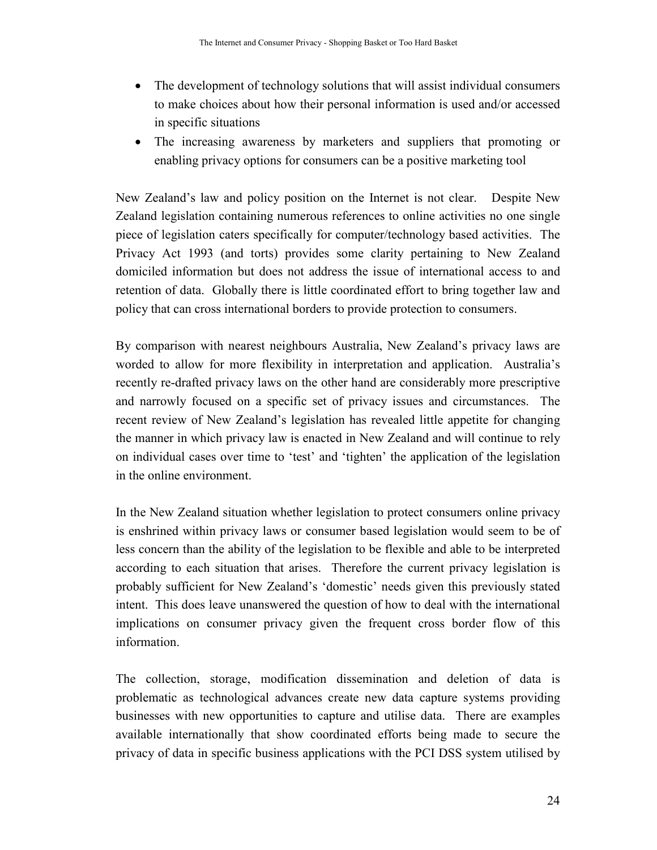- The development of technology solutions that will assist individual consumers to make choices about how their personal information is used and/or accessed in specific situations
- The increasing awareness by marketers and suppliers that promoting or enabling privacy options for consumers can be a positive marketing tool

New Zealand's law and policy position on the Internet is not clear. Despite New Zealand legislation containing numerous references to online activities no one single piece of legislation caters specifically for computer/technology based activities. The Privacy Act 1993 (and torts) provides some clarity pertaining to New Zealand domiciled information but does not address the issue of international access to and retention of data. Globally there is little coordinated effort to bring together law and policy that can cross international borders to provide protection to consumers.

By comparison with nearest neighbours Australia, New Zealand's privacy laws are worded to allow for more flexibility in interpretation and application. Australia's recently re-drafted privacy laws on the other hand are considerably more prescriptive and narrowly focused on a specific set of privacy issues and circumstances. The recent review of New Zealand's legislation has revealed little appetite for changing the manner in which privacy law is enacted in New Zealand and will continue to rely on individual cases over time to 'test' and 'tighten' the application of the legislation in the online environment.

In the New Zealand situation whether legislation to protect consumers online privacy is enshrined within privacy laws or consumer based legislation would seem to be of less concern than the ability of the legislation to be flexible and able to be interpreted according to each situation that arises. Therefore the current privacy legislation is probably sufficient for New Zealand's 'domestic' needs given this previously stated intent. This does leave unanswered the question of how to deal with the international implications on consumer privacy given the frequent cross border flow of this information.

The collection, storage, modification dissemination and deletion of data is problematic as technological advances create new data capture systems providing businesses with new opportunities to capture and utilise data. There are examples available internationally that show coordinated efforts being made to secure the privacy of data in specific business applications with the PCI DSS system utilised by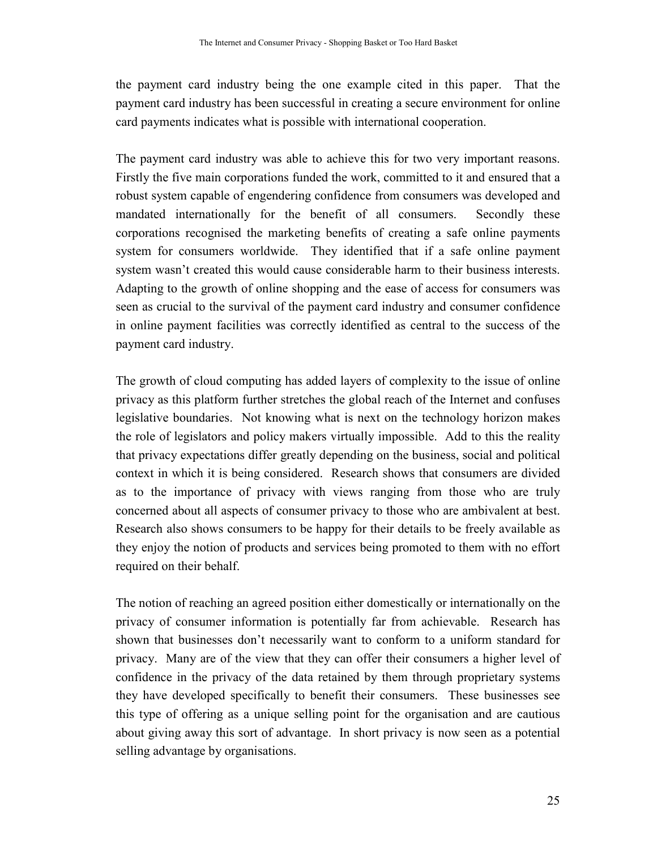the payment card industry being the one example cited in this paper. That the payment card industry has been successful in creating a secure environment for online card payments indicates what is possible with international cooperation.

The payment card industry was able to achieve this for two very important reasons. Firstly the five main corporations funded the work, committed to it and ensured that a robust system capable of engendering confidence from consumers was developed and mandated internationally for the benefit of all consumers. Secondly these corporations recognised the marketing benefits of creating a safe online payments system for consumers worldwide. They identified that if a safe online payment system wasn't created this would cause considerable harm to their business interests. Adapting to the growth of online shopping and the ease of access for consumers was seen as crucial to the survival of the payment card industry and consumer confidence in online payment facilities was correctly identified as central to the success of the payment card industry.

The growth of cloud computing has added layers of complexity to the issue of online privacy as this platform further stretches the global reach of the Internet and confuses legislative boundaries. Not knowing what is next on the technology horizon makes the role of legislators and policy makers virtually impossible. Add to this the reality that privacy expectations differ greatly depending on the business, social and political context in which it is being considered. Research shows that consumers are divided as to the importance of privacy with views ranging from those who are truly concerned about all aspects of consumer privacy to those who are ambivalent at best. Research also shows consumers to be happy for their details to be freely available as they enjoy the notion of products and services being promoted to them with no effort required on their behalf.

The notion of reaching an agreed position either domestically or internationally on the privacy of consumer information is potentially far from achievable. Research has shown that businesses don't necessarily want to conform to a uniform standard for privacy. Many are of the view that they can offer their consumers a higher level of confidence in the privacy of the data retained by them through proprietary systems they have developed specifically to benefit their consumers. These businesses see this type of offering as a unique selling point for the organisation and are cautious about giving away this sort of advantage. In short privacy is now seen as a potential selling advantage by organisations.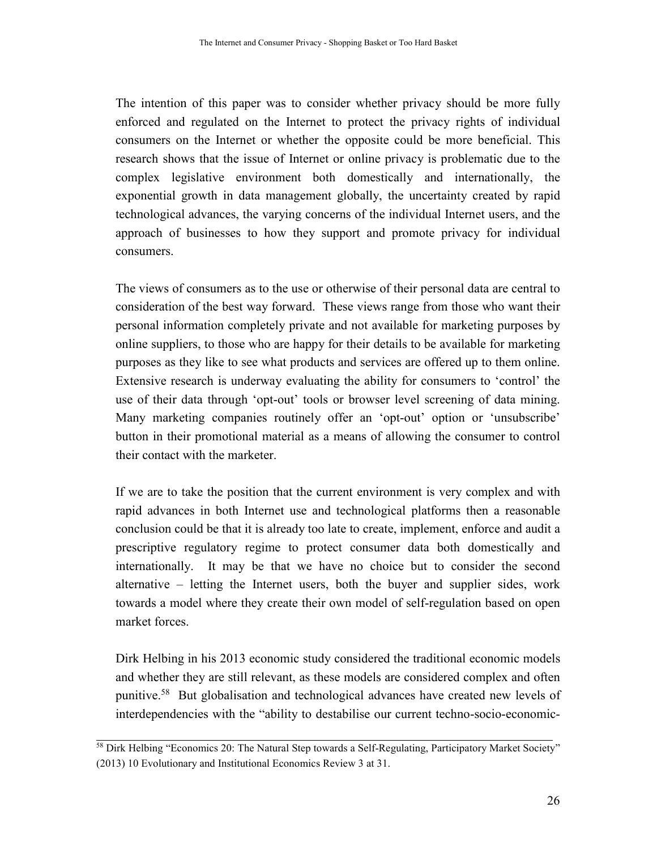The intention of this paper was to consider whether privacy should be more fully enforced and regulated on the Internet to protect the privacy rights of individual consumers on the Internet or whether the opposite could be more beneficial. This research shows that the issue of Internet or online privacy is problematic due to the complex legislative environment both domestically and internationally, the exponential growth in data management globally, the uncertainty created by rapid technological advances, the varying concerns of the individual Internet users, and the approach of businesses to how they support and promote privacy for individual consumers.

The views of consumers as to the use or otherwise of their personal data are central to consideration of the best way forward. These views range from those who want their personal information completely private and not available for marketing purposes by online suppliers, to those who are happy for their details to be available for marketing purposes as they like to see what products and services are offered up to them online. Extensive research is underway evaluating the ability for consumers to 'control' the use of their data through 'opt-out' tools or browser level screening of data mining. Many marketing companies routinely offer an 'opt-out' option or 'unsubscribe' button in their promotional material as a means of allowing the consumer to control their contact with the marketer.

If we are to take the position that the current environment is very complex and with rapid advances in both Internet use and technological platforms then a reasonable conclusion could be that it is already too late to create, implement, enforce and audit a prescriptive regulatory regime to protect consumer data both domestically and internationally. It may be that we have no choice but to consider the second alternative – letting the Internet users, both the buyer and supplier sides, work towards a model where they create their own model of self-regulation based on open market forces.

Dirk Helbing in his 2013 economic study considered the traditional economic models and whether they are still relevant, as these models are considered complex and often punitive.<sup>58</sup> But globalisation and technological advances have created new levels of interdependencies with the "ability to destabilise our current techno-socio-economic-

<sup>&</sup>lt;sup>58</sup> Dirk Helbing "Economics 20: The Natural Step towards a Self-Regulating, Participatory Market Society" (2013) 10 Evolutionary and Institutional Economics Review 3 at 31.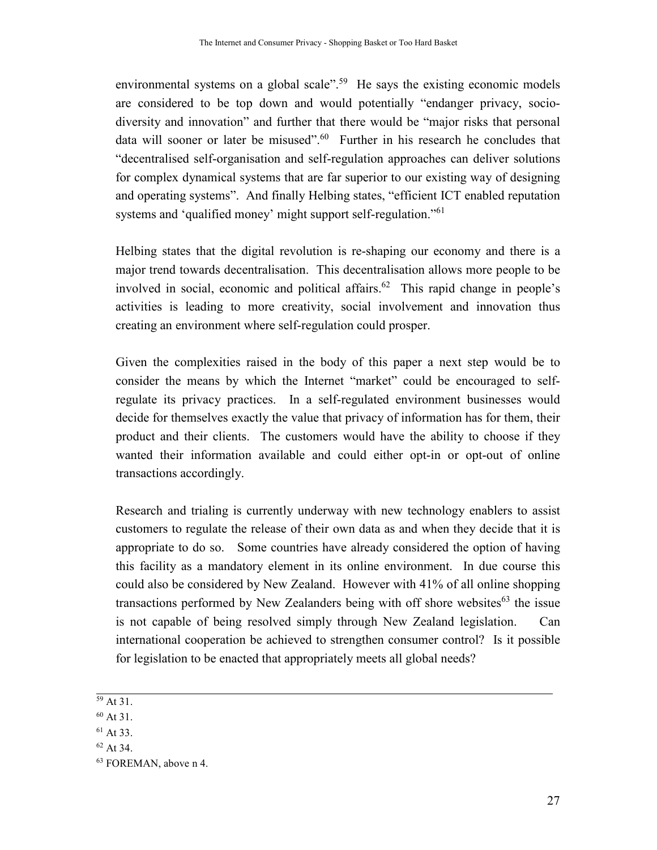environmental systems on a global scale".<sup>59</sup> He says the existing economic models are considered to be top down and would potentially "endanger privacy, sociodiversity and innovation" and further that there would be "major risks that personal data will sooner or later be misused".<sup>60</sup> Further in his research he concludes that "decentralised self-organisation and self-regulation approaches can deliver solutions for complex dynamical systems that are far superior to our existing way of designing and operating systems". And finally Helbing states, "efficient ICT enabled reputation systems and 'qualified money' might support self-regulation."<sup>61</sup>

Helbing states that the digital revolution is re-shaping our economy and there is a major trend towards decentralisation. This decentralisation allows more people to be involved in social, economic and political affairs.<sup>62</sup> This rapid change in people's activities is leading to more creativity, social involvement and innovation thus creating an environment where self-regulation could prosper.

Given the complexities raised in the body of this paper a next step would be to consider the means by which the Internet "market" could be encouraged to selfregulate its privacy practices. In a self-regulated environment businesses would decide for themselves exactly the value that privacy of information has for them, their product and their clients. The customers would have the ability to choose if they wanted their information available and could either opt-in or opt-out of online transactions accordingly.

Research and trialing is currently underway with new technology enablers to assist customers to regulate the release of their own data as and when they decide that it is appropriate to do so. Some countries have already considered the option of having this facility as a mandatory element in its online environment. In due course this could also be considered by New Zealand. However with 41% of all online shopping transactions performed by New Zealanders being with off shore websites $63$  the issue is not capable of being resolved simply through New Zealand legislation. Can international cooperation be achieved to strengthen consumer control? Is it possible for legislation to be enacted that appropriately meets all global needs?

 $\frac{59}{11}$  At 31.

<sup>60</sup> At 31.

<sup>61</sup> At 33.

 $62$  At 34.

<sup>63</sup> FOREMAN, above n 4.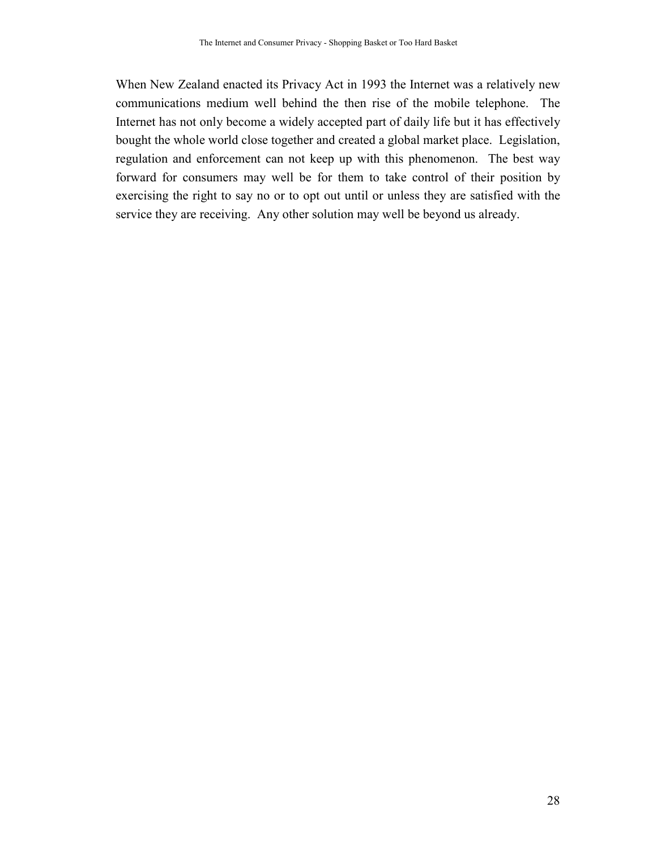When New Zealand enacted its Privacy Act in 1993 the Internet was a relatively new communications medium well behind the then rise of the mobile telephone. The Internet has not only become a widely accepted part of daily life but it has effectively bought the whole world close together and created a global market place. Legislation, regulation and enforcement can not keep up with this phenomenon. The best way forward for consumers may well be for them to take control of their position by exercising the right to say no or to opt out until or unless they are satisfied with the service they are receiving. Any other solution may well be beyond us already.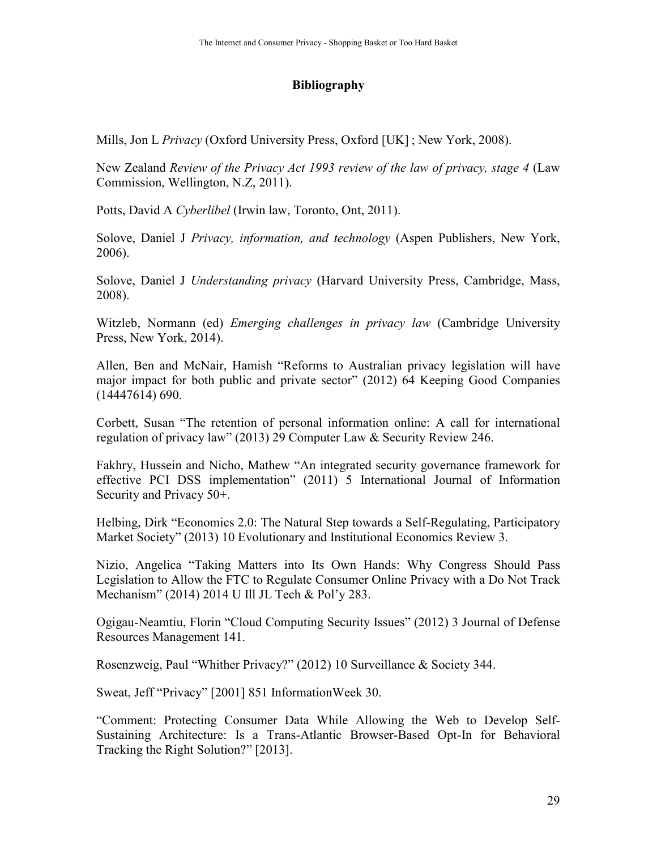### **Bibliography**

Mills, Jon L *Privacy* (Oxford University Press, Oxford [UK] ; New York, 2008).

New Zealand *Review of the Privacy Act 1993 review of the law of privacy, stage 4* (Law Commission, Wellington, N.Z, 2011).

Potts, David A *Cyberlibel* (Irwin law, Toronto, Ont, 2011).

Solove, Daniel J *Privacy, information, and technology* (Aspen Publishers, New York, 2006).

Solove, Daniel J *Understanding privacy* (Harvard University Press, Cambridge, Mass, 2008).

Witzleb, Normann (ed) *Emerging challenges in privacy law* (Cambridge University Press, New York, 2014).

Allen, Ben and McNair, Hamish "Reforms to Australian privacy legislation will have major impact for both public and private sector" (2012) 64 Keeping Good Companies (14447614) 690.

Corbett, Susan "The retention of personal information online: A call for international regulation of privacy law" (2013) 29 Computer Law & Security Review 246.

Fakhry, Hussein and Nicho, Mathew "An integrated security governance framework for effective PCI DSS implementation" (2011) 5 International Journal of Information Security and Privacy 50+.

Helbing, Dirk "Economics 2.0: The Natural Step towards a Self-Regulating, Participatory Market Society" (2013) 10 Evolutionary and Institutional Economics Review 3.

Nizio, Angelica "Taking Matters into Its Own Hands: Why Congress Should Pass Legislation to Allow the FTC to Regulate Consumer Online Privacy with a Do Not Track Mechanism" (2014) 2014 U Ill JL Tech & Pol'y 283.

Ogigau-Neamtiu, Florin "Cloud Computing Security Issues" (2012) 3 Journal of Defense Resources Management 141.

Rosenzweig, Paul "Whither Privacy?" (2012) 10 Surveillance & Society 344.

Sweat, Jeff "Privacy" [2001] 851 InformationWeek 30.

"Comment: Protecting Consumer Data While Allowing the Web to Develop Self-Sustaining Architecture: Is a Trans-Atlantic Browser-Based Opt-In for Behavioral Tracking the Right Solution?" [2013].